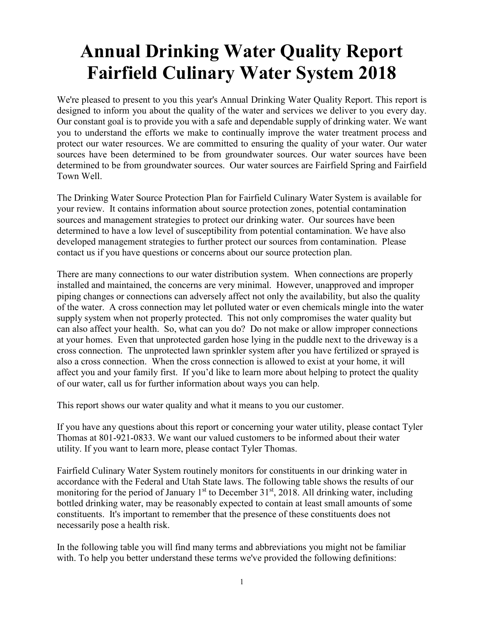## **Annual Drinking Water Quality Report Fairfield Culinary Water System 2018**

We're pleased to present to you this year's Annual Drinking Water Quality Report. This report is designed to inform you about the quality of the water and services we deliver to you every day. Our constant goal is to provide you with a safe and dependable supply of drinking water. We want you to understand the efforts we make to continually improve the water treatment process and protect our water resources. We are committed to ensuring the quality of your water. Our water sources have been determined to be from groundwater sources. Our water sources have been determined to be from groundwater sources. Our water sources are Fairfield Spring and Fairfield Town Well.

The Drinking Water Source Protection Plan for Fairfield Culinary Water System is available for your review. It contains information about source protection zones, potential contamination sources and management strategies to protect our drinking water. Our sources have been determined to have a low level of susceptibility from potential contamination. We have also developed management strategies to further protect our sources from contamination. Please contact us if you have questions or concerns about our source protection plan.

There are many connections to our water distribution system. When connections are properly installed and maintained, the concerns are very minimal. However, unapproved and improper piping changes or connections can adversely affect not only the availability, but also the quality of the water. A cross connection may let polluted water or even chemicals mingle into the water supply system when not properly protected. This not only compromises the water quality but can also affect your health. So, what can you do? Do not make or allow improper connections at your homes. Even that unprotected garden hose lying in the puddle next to the driveway is a cross connection. The unprotected lawn sprinkler system after you have fertilized or sprayed is also a cross connection. When the cross connection is allowed to exist at your home, it will affect you and your family first. If you'd like to learn more about helping to protect the quality of our water, call us for further information about ways you can help.

This report shows our water quality and what it means to you our customer.

If you have any questions about this report or concerning your water utility, please contact Tyler Thomas at 801-921-0833. We want our valued customers to be informed about their water utility. If you want to learn more, please contact Tyler Thomas.

Fairfield Culinary Water System routinely monitors for constituents in our drinking water in accordance with the Federal and Utah State laws. The following table shows the results of our monitoring for the period of January  $1<sup>st</sup>$  to December 31 $<sup>st</sup>$ , 2018. All drinking water, including</sup> bottled drinking water, may be reasonably expected to contain at least small amounts of some constituents. It's important to remember that the presence of these constituents does not necessarily pose a health risk.

In the following table you will find many terms and abbreviations you might not be familiar with. To help you better understand these terms we've provided the following definitions: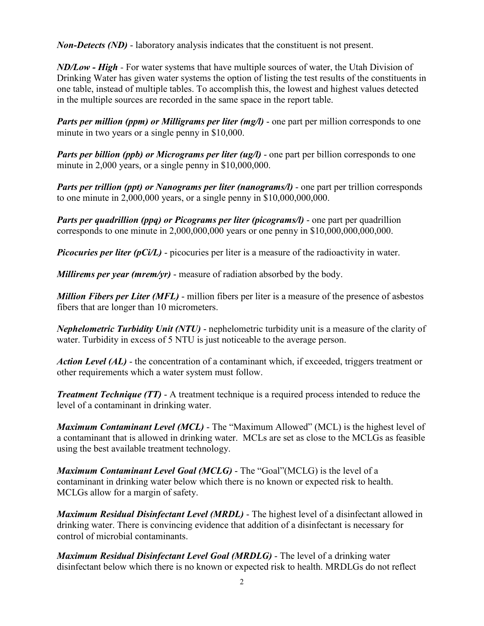*Non-Detects (ND)* - laboratory analysis indicates that the constituent is not present.

*ND/Low - High -* For water systems that have multiple sources of water, the Utah Division of Drinking Water has given water systems the option of listing the test results of the constituents in one table, instead of multiple tables. To accomplish this, the lowest and highest values detected in the multiple sources are recorded in the same space in the report table.

*Parts per million (ppm) or Milligrams per liter (mg/l)* - one part per million corresponds to one minute in two years or a single penny in \$10,000.

*Parts per billion (ppb) or Micrograms per liter (ug/l)* - one part per billion corresponds to one minute in 2,000 years, or a single penny in \$10,000,000.

*Parts per trillion (ppt) or Nanograms per liter (nanograms/l)* - one part per trillion corresponds to one minute in  $2,000,000$  years, or a single penny in  $$10,000,000,000$ .

*Parts per quadrillion (ppq) or Picograms per liter (picograms/l)* - one part per quadrillion corresponds to one minute in 2,000,000,000 years or one penny in \$10,000,000,000,000.

*Picocuries per liter (pCi/L)* - picocuries per liter is a measure of the radioactivity in water.

*Millirems per year (mrem/yr)* - measure of radiation absorbed by the body.

*Million Fibers per Liter (MFL)* - million fibers per liter is a measure of the presence of asbestos fibers that are longer than 10 micrometers.

*Nephelometric Turbidity Unit (NTU)* - nephelometric turbidity unit is a measure of the clarity of water. Turbidity in excess of 5 NTU is just noticeable to the average person.

*Action Level (AL)* - the concentration of a contaminant which, if exceeded, triggers treatment or other requirements which a water system must follow.

*Treatment Technique (TT)* - A treatment technique is a required process intended to reduce the level of a contaminant in drinking water.

*Maximum Contaminant Level (MCL)* - The "Maximum Allowed" (MCL) is the highest level of a contaminant that is allowed in drinking water. MCLs are set as close to the MCLGs as feasible using the best available treatment technology.

*Maximum Contaminant Level Goal (MCLG)* - The "Goal"(MCLG) is the level of a contaminant in drinking water below which there is no known or expected risk to health. MCLGs allow for a margin of safety.

*Maximum Residual Disinfectant Level (MRDL)* - The highest level of a disinfectant allowed in drinking water. There is convincing evidence that addition of a disinfectant is necessary for control of microbial contaminants.

*Maximum Residual Disinfectant Level Goal (MRDLG)* - The level of a drinking water disinfectant below which there is no known or expected risk to health. MRDLGs do not reflect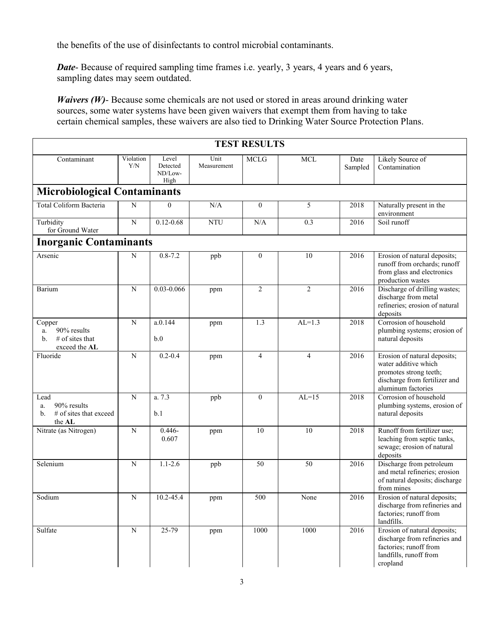the benefits of the use of disinfectants to control microbial contaminants.

*Date*- Because of required sampling time frames i.e. yearly, 3 years, 4 years and 6 years, sampling dates may seem outdated.

*Waivers (W)*- Because some chemicals are not used or stored in areas around drinking water sources, some water systems have been given waivers that exempt them from having to take certain chemical samples, these waivers are also tied to Drinking Water Source Protection Plans.

| <b>TEST RESULTS</b>                                                     |                  |                                      |                     |                  |                 |                 |                                                                                                                                       |  |  |  |  |
|-------------------------------------------------------------------------|------------------|--------------------------------------|---------------------|------------------|-----------------|-----------------|---------------------------------------------------------------------------------------------------------------------------------------|--|--|--|--|
| Contaminant                                                             | Violation<br>Y/N | Level<br>Detected<br>ND/Low-<br>High | Unit<br>Measurement | <b>MCLG</b>      | <b>MCL</b>      | Date<br>Sampled | Likely Source of<br>Contamination                                                                                                     |  |  |  |  |
| <b>Microbiological Contaminants</b>                                     |                  |                                      |                     |                  |                 |                 |                                                                                                                                       |  |  |  |  |
| <b>Total Coliform Bacteria</b>                                          | $\mathbf N$      | $\theta$                             | N/A                 | $\theta$         | 5               | 2018            | Naturally present in the<br>environment                                                                                               |  |  |  |  |
| Turbidity<br>for Ground Water                                           | ${\bf N}$        | $0.12 - 0.68$                        | <b>NTU</b>          | $\rm N/A$        | 0.3             | 2016            | Soil runoff                                                                                                                           |  |  |  |  |
| <b>Inorganic Contaminants</b>                                           |                  |                                      |                     |                  |                 |                 |                                                                                                                                       |  |  |  |  |
| Arsenic                                                                 | N                | $0.8 - 7.2$                          | ppb                 | $\boldsymbol{0}$ | 10              | 2016            | Erosion of natural deposits;<br>runoff from orchards; runoff<br>from glass and electronics<br>production wastes                       |  |  |  |  |
| Barium                                                                  | $\mathbf N$      | 0.03-0.066                           | ppm                 | $\overline{c}$   | $\overline{2}$  | 2016            | Discharge of drilling wastes;<br>discharge from metal<br>refineries; erosion of natural<br>deposits                                   |  |  |  |  |
| Copper<br>90% results<br>a.<br>$#$ of sites that<br>b.<br>exceed the AL | ${\bf N}$        | a.0.144<br>b.0                       | ppm                 | 1.3              | $AL=1.3$        | 2018            | Corrosion of household<br>plumbing systems; erosion of<br>natural deposits                                                            |  |  |  |  |
| Fluoride                                                                | ${\bf N}$        | $0.2 - 0.4$                          | ppm                 | $\overline{4}$   | $\overline{4}$  | 2016            | Erosion of natural deposits;<br>water additive which<br>promotes strong teeth;<br>discharge from fertilizer and<br>aluminum factories |  |  |  |  |
| Lead<br>90% results<br>a.<br># of sites that exceed<br>b.<br>the AL     | $\mathbf N$      | a. 7.3<br>b.1                        | ppb                 | $\mathbf{0}$     | $AL=15$         | 2018            | Corrosion of household<br>plumbing systems, erosion of<br>natural deposits                                                            |  |  |  |  |
| Nitrate (as Nitrogen)                                                   | $\overline{N}$   | $0.446 -$<br>0.607                   | ppm                 | 10               | $\overline{10}$ | 2018            | Runoff from fertilizer use;<br>leaching from septic tanks,<br>sewage; erosion of natural<br>deposits                                  |  |  |  |  |
| Selenium                                                                | $\mathbf N$      | $1.1 - 2.6$                          | ppb                 | 50               | 50              | 2016            | Discharge from petroleum<br>and metal refineries; erosion<br>of natural deposits; discharge<br>from mines                             |  |  |  |  |
| Sodium                                                                  | $\overline{N}$   | $10.2 - 45.4$                        | ppm                 | 500              | None            | 2016            | Erosion of natural deposits;<br>discharge from refineries and<br>factories; runoff from<br>landfills.                                 |  |  |  |  |
| Sulfate                                                                 | ${\bf N}$        | 25-79                                | ppm                 | 1000             | 1000            | 2016            | Erosion of natural deposits;<br>discharge from refineries and<br>factories; runoff from<br>landfills, runoff from<br>cropland         |  |  |  |  |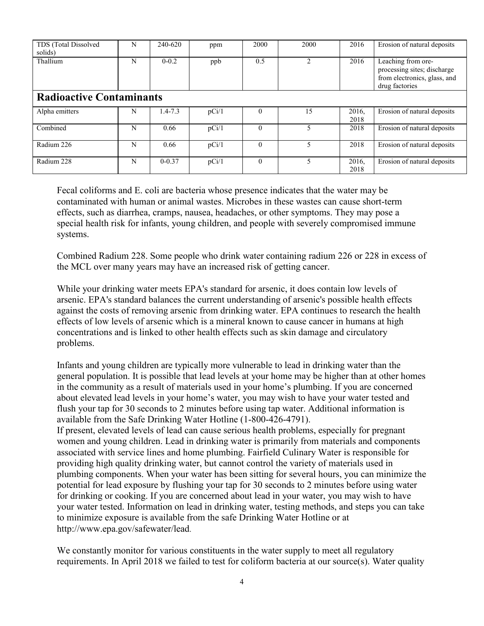| TDS (Total Dissolved<br>solids) | N | 240-620    | ppm   | 2000     | 2000           | 2016          | Erosion of natural deposits                                                                         |  |  |  |
|---------------------------------|---|------------|-------|----------|----------------|---------------|-----------------------------------------------------------------------------------------------------|--|--|--|
| Thallium                        | N | $0 - 0.2$  | ppb   | 0.5      | $\mathfrak{D}$ | 2016          | Leaching from ore-<br>processing sites; discharge<br>from electronics, glass, and<br>drug factories |  |  |  |
| <b>Radioactive Contaminants</b> |   |            |       |          |                |               |                                                                                                     |  |  |  |
| Alpha emitters                  | N | 1.4-7.3    | pCi/1 |          | 15             | 2016,<br>2018 | Erosion of natural deposits                                                                         |  |  |  |
| Combined                        | N | 0.66       | pCi/1 |          | 5              | 2018          | Erosion of natural deposits                                                                         |  |  |  |
| Radium 226                      | N | 0.66       | pCi/1 | $\theta$ | 5              | 2018          | Erosion of natural deposits                                                                         |  |  |  |
| Radium 228                      | N | $0 - 0.37$ | pCi/1 | $\theta$ | 5              | 2016,<br>2018 | Erosion of natural deposits                                                                         |  |  |  |

Fecal coliforms and E. coli are bacteria whose presence indicates that the water may be contaminated with human or animal wastes. Microbes in these wastes can cause short-term effects, such as diarrhea, cramps, nausea, headaches, or other symptoms. They may pose a special health risk for infants, young children, and people with severely compromised immune systems.

Combined Radium 228. Some people who drink water containing radium 226 or 228 in excess of the MCL over many years may have an increased risk of getting cancer.

While your drinking water meets EPA's standard for arsenic, it does contain low levels of arsenic. EPA's standard balances the current understanding of arsenic's possible health effects against the costs of removing arsenic from drinking water. EPA continues to research the health effects of low levels of arsenic which is a mineral known to cause cancer in humans at high concentrations and is linked to other health effects such as skin damage and circulatory problems.

Infants and young children are typically more vulnerable to lead in drinking water than the general population. It is possible that lead levels at your home may be higher than at other homes in the community as a result of materials used in your home's plumbing. If you are concerned about elevated lead levels in your home's water, you may wish to have your water tested and flush your tap for 30 seconds to 2 minutes before using tap water. Additional information is available from the Safe Drinking Water Hotline (1-800-426-4791). If present, elevated levels of lead can cause serious health problems, especially for pregnant women and young children. Lead in drinking water is primarily from materials and components associated with service lines and home plumbing. Fairfield Culinary Water is responsible for providing high quality drinking water, but cannot control the variety of materials used in plumbing components. When your water has been sitting for several hours, you can minimize the potential for lead exposure by flushing your tap for 30 seconds to 2 minutes before using water for drinking or cooking. If you are concerned about lead in your water, you may wish to have your water tested. Information on lead in drinking water, testing methods, and steps you can take to minimize exposure is available from the safe Drinking Water Hotline or at http://www.epa.gov/safewater/lead.

We constantly monitor for various constituents in the water supply to meet all regulatory requirements. In April 2018 we failed to test for coliform bacteria at our source(s). Water quality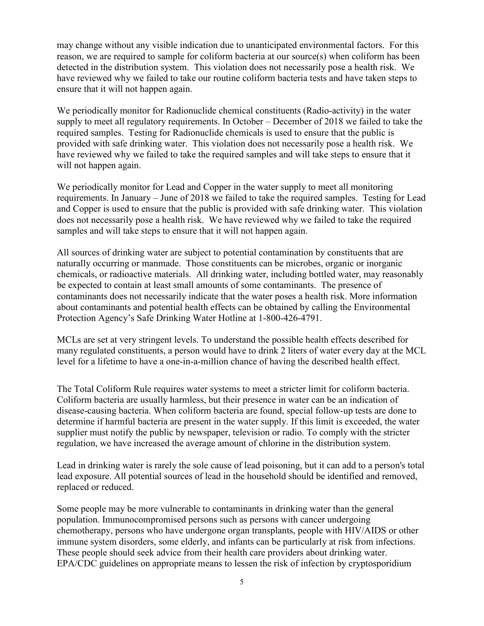may change without any visible indication due to unanticipated environmental factors. For this reason, we are required to sample for coliform bacteria at our source(s) when coliform has been detected in the distribution system. This violation does not necessarily pose a health risk. We have reviewed why we failed to take our routine coliform bacteria tests and have taken steps to ensure that it will not happen again.

We periodically monitor for Radionuclide chemical constituents (Radio-activity) in the water supply to meet all regulatory requirements. In October – December of 2018 we failed to take the required samples. Testing for Radionuclide chemicals is used to ensure that the public is provided with safe drinking water. This violation does not necessarily pose a health risk. We have reviewed why we failed to take the required samples and will take steps to ensure that it will not happen again.

We periodically monitor for Lead and Copper in the water supply to meet all monitoring requirements. In January – June of 2018 we failed to take the required samples. Testing for Lead and Copper is used to ensure that the public is provided with safe drinking water. This violation does not necessarily pose a health risk. We have reviewed why we failed to take the required samples and will take steps to ensure that it will not happen again.

All sources of drinking water are subject to potential contamination by constituents that are naturally occurring or manmade. Those constituents can be microbes, organic or inorganic chemicals, or radioactive materials. All drinking water, including bottled water, may reasonably be expected to contain at least small amounts of some contaminants. The presence of contaminants does not necessarily indicate that the water poses a health risk. More information about contaminants and potential health effects can be obtained by calling the Environmental Protection Agency's Safe Drinking Water Hotline at 1-800-426-4791.

MCLs are set at very stringent levels. To understand the possible health effects described for many regulated constituents, a person would have to drink 2 liters of water every day at the MCL level for a lifetime to have a one-in-a-million chance of having the described health effect.

The Total Coliform Rule requires water systems to meet a stricter limit for coliform bacteria. Coliform bacteria are usually harmless, but their presence in water can be an indication of disease-causing bacteria. When coliform bacteria are found, special follow-up tests are done to determine if harmful bacteria are present in the water supply. If this limit is exceeded, the water supplier must notify the public by newspaper, television or radio. To comply with the stricter regulation, we have increased the average amount of chlorine in the distribution system.

Lead in drinking water is rarely the sole cause of lead poisoning, but it can add to a person's total lead exposure. All potential sources of lead in the household should be identified and removed, replaced or reduced.

Some people may be more vulnerable to contaminants in drinking water than the general population. Immunocompromised persons such as persons with cancer undergoing chemotherapy, persons who have undergone organ transplants, people with HIV/AIDS or other immune system disorders, some elderly, and infants can be particularly at risk from infections. These people should seek advice from their health care providers about drinking water. EPA/CDC guidelines on appropriate means to lessen the risk of infection by cryptosporidium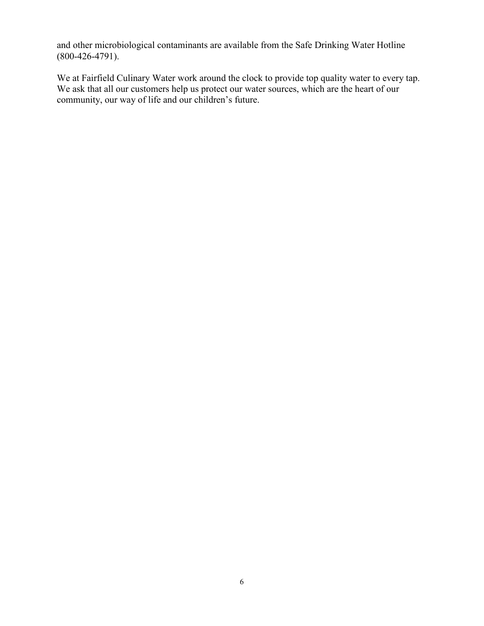and other microbiological contaminants are available from the Safe Drinking Water Hotline (800-426-4791).

We at Fairfield Culinary Water work around the clock to provide top quality water to every tap. We ask that all our customers help us protect our water sources, which are the heart of our community, our way of life and our children's future.